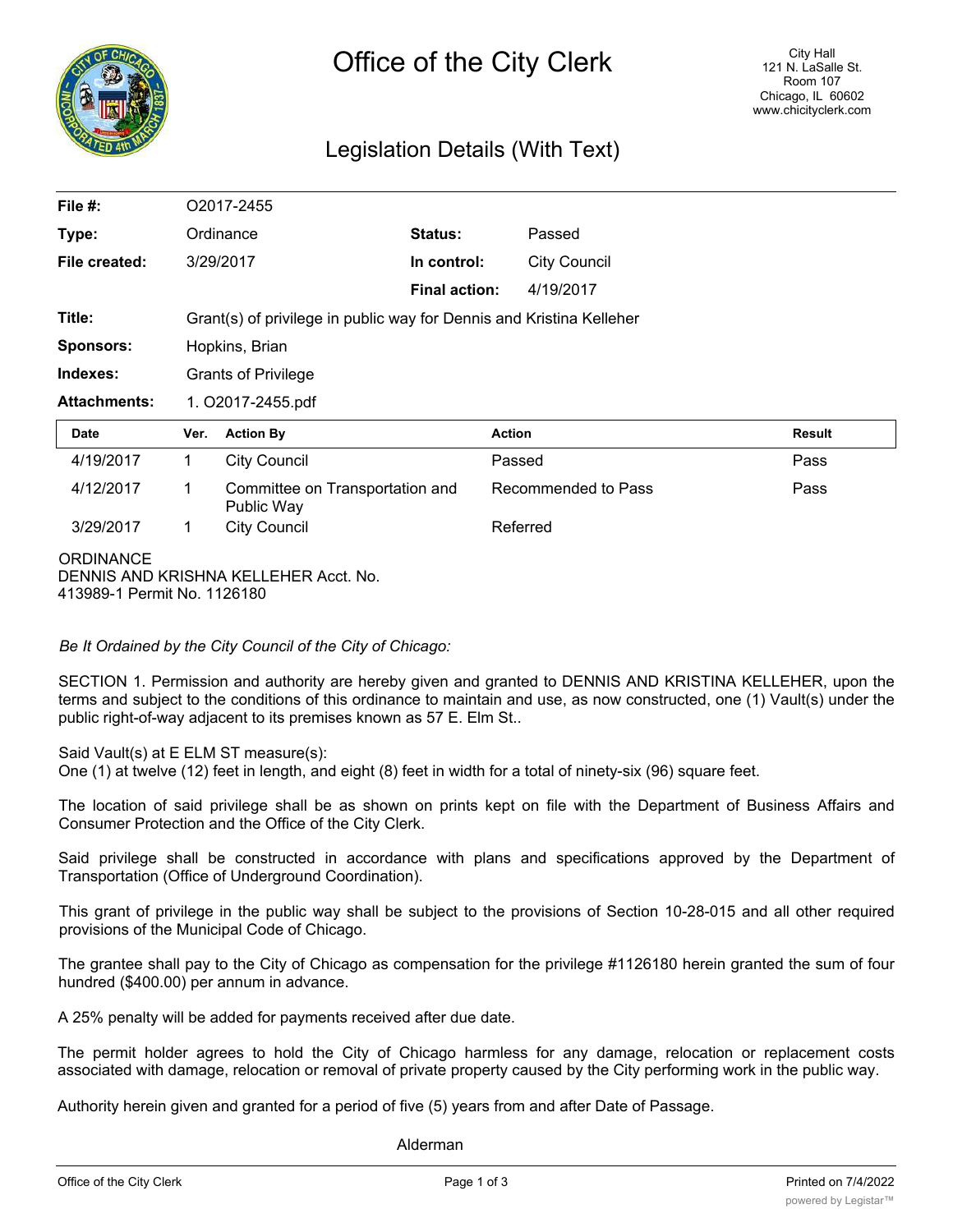

### Legislation Details (With Text)

| File $#$ :                                      | O2017-2455                                                           |                                               |                      |                     |                     |               |
|-------------------------------------------------|----------------------------------------------------------------------|-----------------------------------------------|----------------------|---------------------|---------------------|---------------|
| Type:                                           | Ordinance                                                            |                                               | Status:              |                     | Passed              |               |
| File created:                                   | 3/29/2017                                                            |                                               | In control:          |                     | <b>City Council</b> |               |
|                                                 |                                                                      |                                               | <b>Final action:</b> |                     | 4/19/2017           |               |
| Title:                                          | Grant(s) of privilege in public way for Dennis and Kristina Kelleher |                                               |                      |                     |                     |               |
| <b>Sponsors:</b>                                | Hopkins, Brian                                                       |                                               |                      |                     |                     |               |
| Indexes:                                        | <b>Grants of Privilege</b>                                           |                                               |                      |                     |                     |               |
| <b>Attachments:</b>                             | 1. O2017-2455.pdf                                                    |                                               |                      |                     |                     |               |
| <b>Date</b>                                     | Ver.                                                                 | <b>Action By</b>                              |                      | <b>Action</b>       |                     | <b>Result</b> |
| 4/19/2017                                       | 1.                                                                   | <b>City Council</b>                           |                      | Passed              |                     | Pass          |
| 4/12/2017                                       | 1                                                                    | Committee on Transportation and<br>Public Way |                      | Recommended to Pass |                     | Pass          |
| 3/29/2017                                       | 1                                                                    | <b>City Council</b>                           |                      | Referred            |                     |               |
| <b>ORDINANCE</b><br>413989-1 Permit No. 1126180 |                                                                      | DENNIS AND KRISHNA KELLEHER Acct. No.         |                      |                     |                     |               |

*Be It Ordained by the City Council of the City of Chicago:*

SECTION 1. Permission and authority are hereby given and granted to DENNIS AND KRISTINA KELLEHER, upon the terms and subject to the conditions of this ordinance to maintain and use, as now constructed, one (1) Vault(s) under the public right-of-way adjacent to its premises known as 57 E. Elm St..

Said Vault(s) at E ELM ST measure(s):

One (1) at twelve (12) feet in length, and eight (8) feet in width for a total of ninety-six (96) square feet.

The location of said privilege shall be as shown on prints kept on file with the Department of Business Affairs and Consumer Protection and the Office of the City Clerk.

Said privilege shall be constructed in accordance with plans and specifications approved by the Department of Transportation (Office of Underground Coordination).

This grant of privilege in the public way shall be subject to the provisions of Section 10-28-015 and all other required provisions of the Municipal Code of Chicago.

The grantee shall pay to the City of Chicago as compensation for the privilege #1126180 herein granted the sum of four hundred (\$400.00) per annum in advance.

A 25% penalty will be added for payments received after due date.

The permit holder agrees to hold the City of Chicago harmless for any damage, relocation or replacement costs associated with damage, relocation or removal of private property caused by the City performing work in the public way.

Authority herein given and granted for a period of five (5) years from and after Date of Passage.

Alderman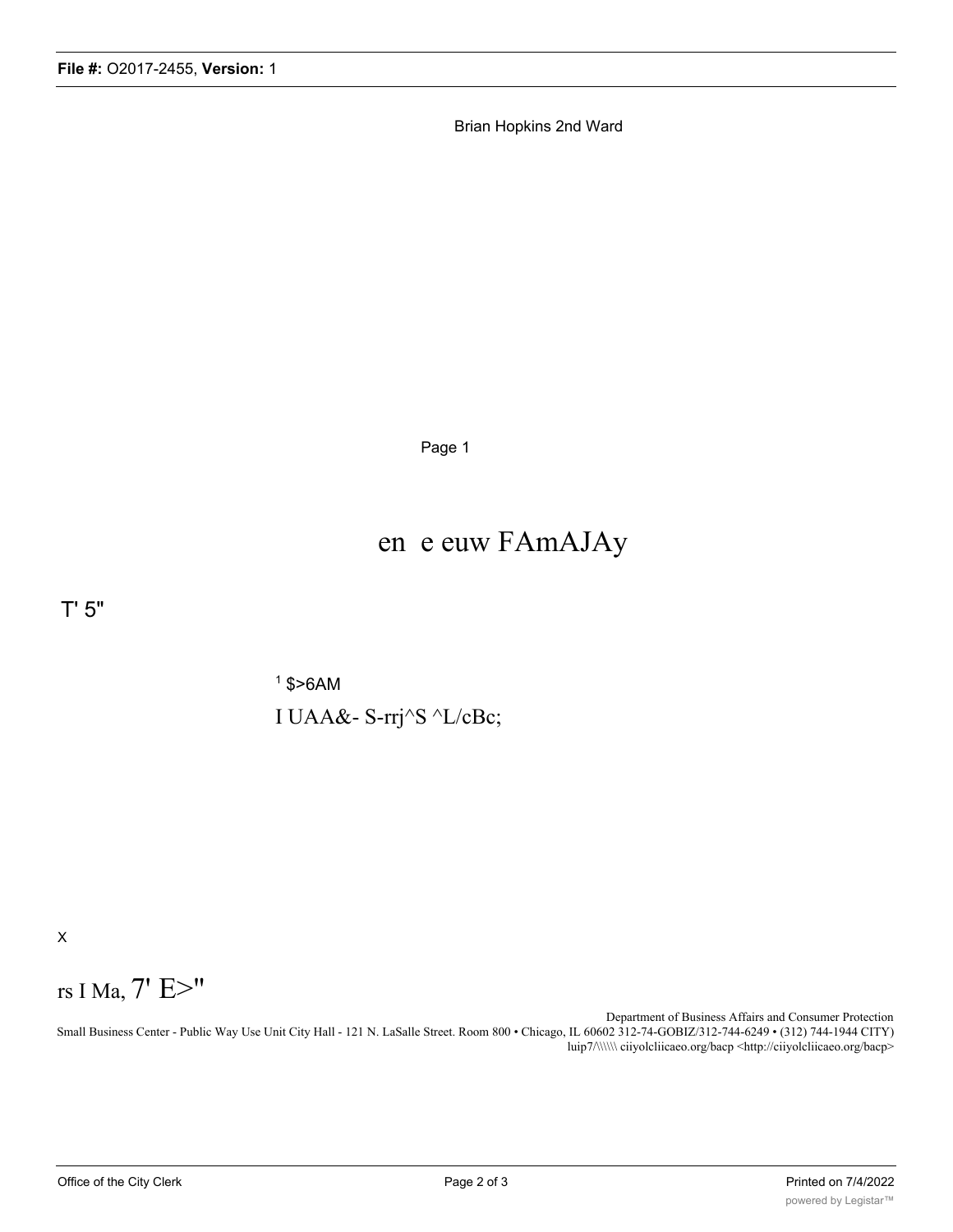Brian Hopkins 2nd Ward

Page 1

## en e euw FAmAJAy

T' 5"

 $1$  \$>6AM I UAA&- S-rrj^S ^L/cBc;

X

# rs I Ma, 7' E>"

Department of Business Affairs and Consumer Protection Small Business Center - Public Way Use Unit City Hall - 121 N. LaSalle Street. Room 800 • Chicago, IL 60602 312-74-GOBIZ/312-744-6249 • (312) 744-1944 CITY) luip7/\\\\\\ ciiyolcliicaeo.org/bacp <http://ciiyolcliicaeo.org/bacp>